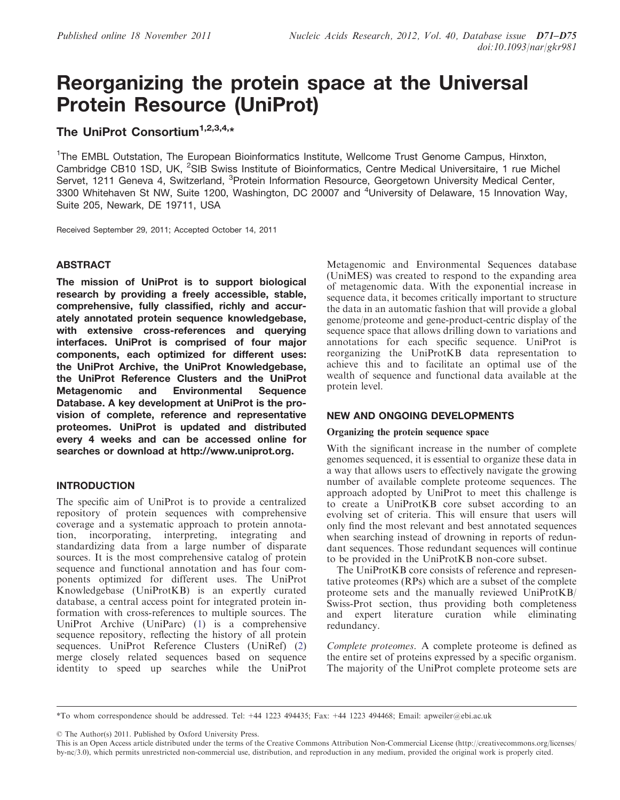# Reorganizing the protein space at the Universal Protein Resource (UniProt)

## The UniProt Consortium<sup>1,2,3,4,\*</sup>

<sup>1</sup>The EMBL Outstation, The European Bioinformatics Institute, Wellcome Trust Genome Campus, Hinxton, Cambridge CB10 1SD, UK, <sup>2</sup>SIB Swiss Institute of Bioinformatics, Centre Medical Universitaire, 1 rue Michel Servet, 1211 Geneva 4, Switzerland, <sup>3</sup>Protein Information Resource, Georgetown University Medical Center, 3300 Whitehaven St NW, Suite 1200, Washington, DC 20007 and <sup>4</sup>University of Delaware, 15 Innovation Way, Suite 205, Newark, DE 19711, USA

Received September 29, 2011; Accepted October 14, 2011

## ABSTRACT

The mission of UniProt is to support biological research by providing a freely accessible, stable, comprehensive, fully classified, richly and accurately annotated protein sequence knowledgebase, with extensive cross-references and querying interfaces. UniProt is comprised of four major components, each optimized for different uses: the UniProt Archive, the UniProt Knowledgebase, the UniProt Reference Clusters and the UniProt Metagenomic and Environmental Sequence Database. A key development at UniProt is the provision of complete, reference and representative proteomes. UniProt is updated and distributed every 4 weeks and can be accessed online for searches or download at [http://www.uniprot.org.](http://www.uniprot.org)

## INTRODUCTION

The specific aim of UniProt is to provide a centralized repository of protein sequences with comprehensive coverage and a systematic approach to protein annotation, incorporating, interpreting, integrating and standardizing data from a large number of disparate sources. It is the most comprehensive catalog of protein sequence and functional annotation and has four components optimized for different uses. The UniProt Knowledgebase (UniProtKB) is an expertly curated database, a central access point for integrated protein information with cross-references to multiple sources. The UniProt Archive (UniParc) ([1\)](#page-3-0) is a comprehensive sequence repository, reflecting the history of all protein sequences. UniProt Reference Clusters (UniRef) ([2\)](#page-3-0) merge closely related sequences based on sequence identity to speed up searches while the UniProt

Metagenomic and Environmental Sequences database (UniMES) was created to respond to the expanding area of metagenomic data. With the exponential increase in sequence data, it becomes critically important to structure the data in an automatic fashion that will provide a global genome/proteome and gene-product-centric display of the sequence space that allows drilling down to variations and annotations for each specific sequence. UniProt is reorganizing the UniProtKB data representation to achieve this and to facilitate an optimal use of the wealth of sequence and functional data available at the protein level.

## NEW AND ONGOING DEVELOPMENTS

## Organizing the protein sequence space

With the significant increase in the number of complete genomes sequenced, it is essential to organize these data in a way that allows users to effectively navigate the growing number of available complete proteome sequences. The approach adopted by UniProt to meet this challenge is to create a UniProtKB core subset according to an evolving set of criteria. This will ensure that users will only find the most relevant and best annotated sequences when searching instead of drowning in reports of redundant sequences. Those redundant sequences will continue to be provided in the UniProtKB non-core subset.

The UniProtKB core consists of reference and representative proteomes (RPs) which are a subset of the complete proteome sets and the manually reviewed UniProtKB/ Swiss-Prot section, thus providing both completeness and expert literature curation while eliminating redundancy.

Complete proteomes. A complete proteome is defined as the entire set of proteins expressed by a specific organism. The majority of the UniProt complete proteome sets are

© The Author(s) 2011. Published by Oxford University Press.

<sup>\*</sup>To whom correspondence should be addressed. Tel: +44 1223 494435; Fax: +44 1223 494468; Email: apweiler@ebi.ac.uk

This is an Open Access article distributed under the terms of the Creative Commons Attribution Non-Commercial License (http://creativecommons.org/licenses/ by-nc/3.0), which permits unrestricted non-commercial use, distribution, and reproduction in any medium, provided the original work is properly cited.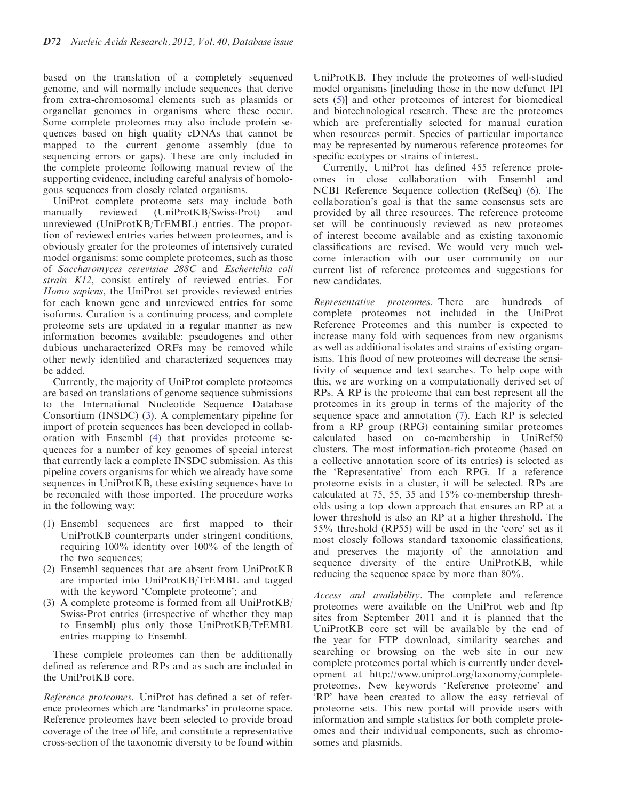based on the translation of a completely sequenced genome, and will normally include sequences that derive from extra-chromosomal elements such as plasmids or organellar genomes in organisms where these occur. Some complete proteomes may also include protein sequences based on high quality cDNAs that cannot be mapped to the current genome assembly (due to sequencing errors or gaps). These are only included in the complete proteome following manual review of the supporting evidence, including careful analysis of homologous sequences from closely related organisms.

UniProt complete proteome sets may include both manually reviewed (UniProtKB/Swiss-Prot) and unreviewed (UniProtKB/TrEMBL) entries. The proportion of reviewed entries varies between proteomes, and is obviously greater for the proteomes of intensively curated model organisms: some complete proteomes, such as those of Saccharomyces cerevisiae 288C and Escherichia coli strain K12, consist entirely of reviewed entries. For Homo sapiens, the UniProt set provides reviewed entries for each known gene and unreviewed entries for some isoforms. Curation is a continuing process, and complete proteome sets are updated in a regular manner as new information becomes available: pseudogenes and other dubious uncharacterized ORFs may be removed while other newly identified and characterized sequences may be added.

Currently, the majority of UniProt complete proteomes are based on translations of genome sequence submissions to the International Nucleotide Sequence Database Consortium (INSDC) ([3\)](#page-3-0). A complementary pipeline for import of protein sequences has been developed in collaboration with Ensembl [\(4](#page-3-0)) that provides proteome sequences for a number of key genomes of special interest that currently lack a complete INSDC submission. As this pipeline covers organisms for which we already have some sequences in UniProtKB, these existing sequences have to be reconciled with those imported. The procedure works in the following way:

- (1) Ensembl sequences are first mapped to their UniProtKB counterparts under stringent conditions, requiring 100% identity over 100% of the length of the two sequences;
- (2) Ensembl sequences that are absent from UniProtKB are imported into UniProtKB/TrEMBL and tagged with the keyword 'Complete proteome'; and
- (3) A complete proteome is formed from all UniProtKB/ Swiss-Prot entries (irrespective of whether they map to Ensembl) plus only those UniProtKB/TrEMBL entries mapping to Ensembl.

These complete proteomes can then be additionally defined as reference and RPs and as such are included in the UniProtKB core.

Reference proteomes. UniProt has defined a set of reference proteomes which are 'landmarks' in proteome space. Reference proteomes have been selected to provide broad coverage of the tree of life, and constitute a representative cross-section of the taxonomic diversity to be found within

UniProtKB. They include the proteomes of well-studied model organisms [including those in the now defunct IPI sets ([5](#page-3-0))] and other proteomes of interest for biomedical and biotechnological research. These are the proteomes which are preferentially selected for manual curation when resources permit. Species of particular importance may be represented by numerous reference proteomes for specific ecotypes or strains of interest.

Currently, UniProt has defined 455 reference proteomes in close collaboration with Ensembl and NCBI Reference Sequence collection (RefSeq) ([6\)](#page-3-0). The collaboration's goal is that the same consensus sets are provided by all three resources. The reference proteome set will be continuously reviewed as new proteomes of interest become available and as existing taxonomic classifications are revised. We would very much welcome interaction with our user community on our current list of reference proteomes and suggestions for new candidates.

Representative proteomes. There are hundreds of complete proteomes not included in the UniProt Reference Proteomes and this number is expected to increase many fold with sequences from new organisms as well as additional isolates and strains of existing organisms. This flood of new proteomes will decrease the sensitivity of sequence and text searches. To help cope with this, we are working on a computationally derived set of RPs. A RP is the proteome that can best represent all the proteomes in its group in terms of the majority of the sequence space and annotation ([7\)](#page-3-0). Each RP is selected from a RP group (RPG) containing similar proteomes calculated based on co-membership in UniRef50 clusters. The most information-rich proteome (based on a collective annotation score of its entries) is selected as the 'Representative' from each RPG. If a reference proteome exists in a cluster, it will be selected. RPs are calculated at 75, 55, 35 and 15% co-membership thresholds using a top–down approach that ensures an RP at a lower threshold is also an RP at a higher threshold. The 55% threshold (RP55) will be used in the 'core' set as it most closely follows standard taxonomic classifications, and preserves the majority of the annotation and sequence diversity of the entire UniProtKB, while reducing the sequence space by more than 80%.

Access and availability. The complete and reference proteomes were available on the UniProt web and ftp sites from September 2011 and it is planned that the UniProtKB core set will be available by the end of the year for FTP download, similarity searches and searching or browsing on the web site in our new complete proteomes portal which is currently under development at [http://www.uniprot.org/taxonomy/complete](http://www.uniprot.org/taxonomy/complete-proteomes)[proteomes.](http://www.uniprot.org/taxonomy/complete-proteomes) New keywords 'Reference proteome' and 'RP' have been created to allow the easy retrieval of proteome sets. This new portal will provide users with information and simple statistics for both complete proteomes and their individual components, such as chromosomes and plasmids.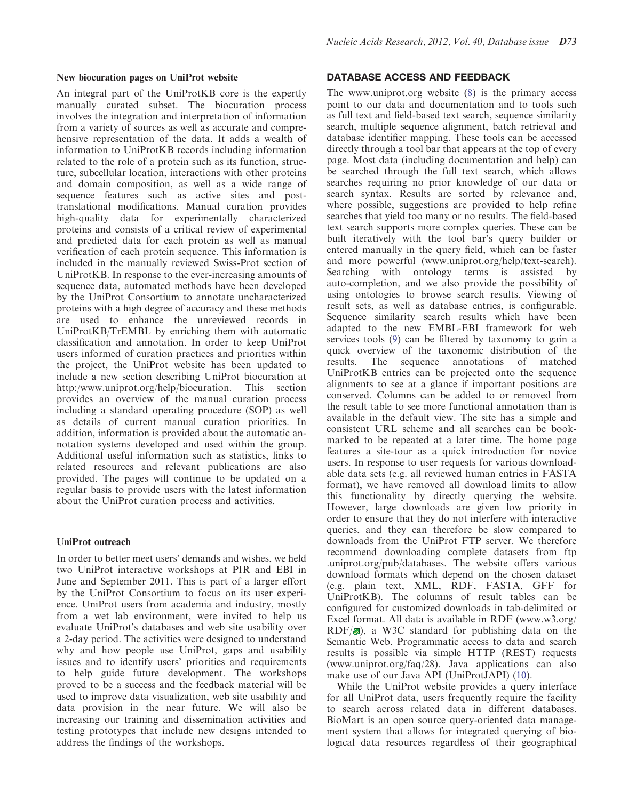#### New biocuration pages on UniProt website

An integral part of the UniProtKB core is the expertly manually curated subset. The biocuration process involves the integration and interpretation of information from a variety of sources as well as accurate and comprehensive representation of the data. It adds a wealth of information to UniProtKB records including information related to the role of a protein such as its function, structure, subcellular location, interactions with other proteins and domain composition, as well as a wide range of sequence features such as active sites and posttranslational modifications. Manual curation provides high-quality data for experimentally characterized proteins and consists of a critical review of experimental and predicted data for each protein as well as manual verification of each protein sequence. This information is included in the manually reviewed Swiss-Prot section of UniProtKB. In response to the ever-increasing amounts of sequence data, automated methods have been developed by the UniProt Consortium to annotate uncharacterized proteins with a high degree of accuracy and these methods are used to enhance the unreviewed records in UniProtKB/TrEMBL by enriching them with automatic classification and annotation. In order to keep UniProt users informed of curation practices and priorities within the project, the UniProt website has been updated to include a new section describing UniProt biocuration at [http:/www.uniprot.org/help/biocuration.](http:/www.uniprot.org/help/biocuration) This section provides an overview of the manual curation process including a standard operating procedure (SOP) as well as details of current manual curation priorities. In addition, information is provided about the automatic annotation systems developed and used within the group. Additional useful information such as statistics, links to related resources and relevant publications are also provided. The pages will continue to be updated on a regular basis to provide users with the latest information about the UniProt curation process and activities.

#### UniProt outreach

In order to better meet users' demands and wishes, we held two UniProt interactive workshops at PIR and EBI in June and September 2011. This is part of a larger effort by the UniProt Consortium to focus on its user experience. UniProt users from academia and industry, mostly from a wet lab environment, were invited to help us evaluate UniProt's databases and web site usability over a 2-day period. The activities were designed to understand why and how people use UniProt, gaps and usability issues and to identify users' priorities and requirements to help guide future development. The workshops proved to be a success and the feedback material will be used to improve data visualization, web site usability and data provision in the near future. We will also be increasing our training and dissemination activities and testing prototypes that include new designs intended to address the findings of the workshops.

## DATABASE ACCESS AND FEEDBACK

The<www.uniprot.org> website ([8\)](#page-3-0) is the primary access point to our data and documentation and to tools such as full text and field-based text search, sequence similarity search, multiple sequence alignment, batch retrieval and database identifier mapping. These tools can be accessed directly through a tool bar that appears at the top of every page. Most data (including documentation and help) can be searched through the full text search, which allows searches requiring no prior knowledge of our data or search syntax. Results are sorted by relevance and, where possible, suggestions are provided to help refine searches that yield too many or no results. The field-based text search supports more complex queries. These can be built iteratively with the tool bar's query builder or entered manually in the query field, which can be faster and more powerful ([www.uniprot.org/help/text-search\)](www.uniprot.org/help/text-search). Searching with ontology terms is assisted by auto-completion, and we also provide the possibility of using ontologies to browse search results. Viewing of result sets, as well as database entries, is configurable. Sequence similarity search results which have been adapted to the new EMBL-EBI framework for web services tools ([9\)](#page-4-0) can be filtered by taxonomy to gain a quick overview of the taxonomic distribution of the results. The sequence annotations of matched UniProtKB entries can be projected onto the sequence alignments to see at a glance if important positions are conserved. Columns can be added to or removed from the result table to see more functional annotation than is available in the default view. The site has a simple and consistent URL scheme and all searches can be bookmarked to be repeated at a later time. The home page features a site-tour as a quick introduction for novice users. In response to user requests for various downloadable data sets (e.g. all reviewed human entries in FASTA format), we have removed all download limits to allow this functionality by directly querying the website. However, large downloads are given low priority in order to ensure that they do not interfere with interactive queries, and they can therefore be slow compared to downloads from the UniProt FTP server. We therefore recommend downloading complete datasets from [ftp](ftp.uniprot.org/pub/databases) [.uniprot.org/pub/databases.](ftp.uniprot.org/pub/databases) The website offers various download formats which depend on the chosen dataset (e.g. plain text, XML, RDF, FASTA, GFF for UniProtKB). The columns of result tables can be configured for customized downloads in tab-delimited or Excel format. All data is available in RDF [\(www.w3.org/](www.w3.org/RDF/)  $RDF/\blacksquare$  $RDF/\blacksquare$ ), a W3C standard for publishing data on the Semantic Web. Programmatic access to data and search results is possible via simple HTTP (REST) requests [\(www.uniprot.org/faq/28\)](www.uniprot.org/faq/28). Java applications can also make use of our Java API (UniProtJAPI) [\(10](#page-4-0)).

While the UniProt website provides a query interface for all UniProt data, users frequently require the facility to search across related data in different databases. BioMart is an open source query-oriented data management system that allows for integrated querying of biological data resources regardless of their geographical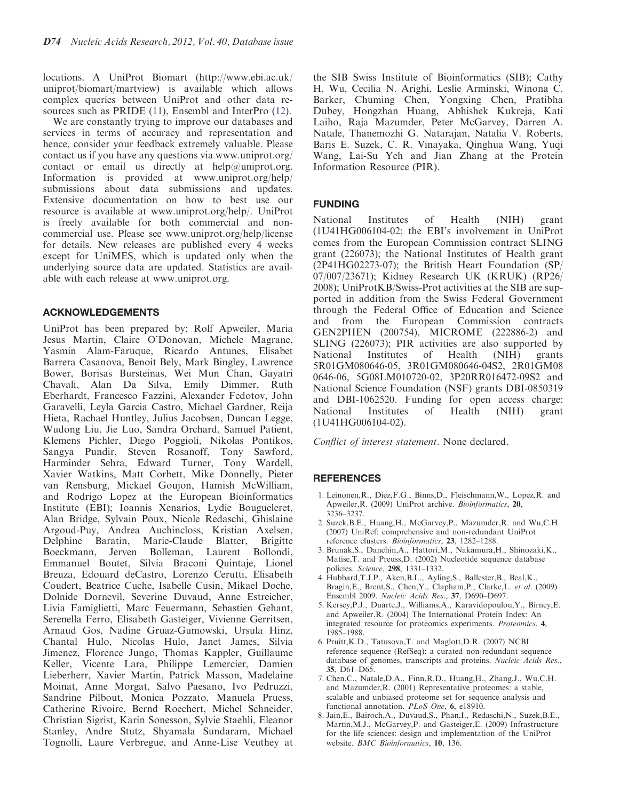<span id="page-3-0"></span>locations. A UniProt Biomart ([http://www.ebi.ac.uk/](http://www.ebi.ac.uk/uniprot/biomart/martview) [uniprot/biomart/martview\)](http://www.ebi.ac.uk/uniprot/biomart/martview) is available which allows complex queries between UniProt and other data re-sources such as PRIDE ([11\)](#page-4-0), Ensembl and InterPro [\(12](#page-4-0)).

We are constantly trying to improve our databases and services in terms of accuracy and representation and hence, consider your feedback extremely valuable. Please contact us if you have any questions via [www.uniprot.org/](www.uniprot.org/contact) [contact](www.uniprot.org/contact) or email us directly at help@uniprot.org. Information is provided at [www.uniprot.org/help/](www.uniprot.org/help/submissions) [submissions](www.uniprot.org/help/submissions) about data submissions and updates. Extensive documentation on how to best use our resource is available at<www.uniprot.org/help/>. UniProt is freely available for both commercial and noncommercial use. Please see<www.uniprot.org/help/license> for details. New releases are published every 4 weeks except for UniMES, which is updated only when the underlying source data are updated. Statistics are available with each release at<www.uniprot.org>.

## ACKNOWLEDGEMENTS

UniProt has been prepared by: Rolf Apweiler, Maria Jesus Martin, Claire O'Donovan, Michele Magrane, Yasmin Alam-Faruque, Ricardo Antunes, Elisabet Barrera Casanova, Benoit Bely, Mark Bingley, Lawrence Bower, Borisas Bursteinas, Wei Mun Chan, Gayatri Chavali, Alan Da Silva, Emily Dimmer, Ruth Eberhardt, Francesco Fazzini, Alexander Fedotov, John Garavelli, Leyla Garcia Castro, Michael Gardner, Reija Hieta, Rachael Huntley, Julius Jacobsen, Duncan Legge, Wudong Liu, Jie Luo, Sandra Orchard, Samuel Patient, Klemens Pichler, Diego Poggioli, Nikolas Pontikos, Sangya Pundir, Steven Rosanoff, Tony Sawford, Harminder Sehra, Edward Turner, Tony Wardell, Xavier Watkins, Matt Corbett, Mike Donnelly, Pieter van Rensburg, Mickael Goujon, Hamish McWilliam, and Rodrigo Lopez at the European Bioinformatics Institute (EBI); Ioannis Xenarios, Lydie Bougueleret, Alan Bridge, Sylvain Poux, Nicole Redaschi, Ghislaine Argoud-Puy, Andrea Auchincloss, Kristian Axelsen, Delphine Baratin, Marie-Claude Blatter, Brigitte Boeckmann, Jerven Bolleman, Laurent Bollondi, Emmanuel Boutet, Silvia Braconi Quintaje, Lionel Breuza, Edouard deCastro, Lorenzo Cerutti, Elisabeth Coudert, Beatrice Cuche, Isabelle Cusin, Mikael Doche, Dolnide Dornevil, Severine Duvaud, Anne Estreicher, Livia Famiglietti, Marc Feuermann, Sebastien Gehant, Serenella Ferro, Elisabeth Gasteiger, Vivienne Gerritsen, Arnaud Gos, Nadine Gruaz-Gumowski, Ursula Hinz, Chantal Hulo, Nicolas Hulo, Janet James, Silvia Jimenez, Florence Jungo, Thomas Kappler, Guillaume Keller, Vicente Lara, Philippe Lemercier, Damien Lieberherr, Xavier Martin, Patrick Masson, Madelaine Moinat, Anne Morgat, Salvo Paesano, Ivo Pedruzzi, Sandrine Pilbout, Monica Pozzato, Manuela Pruess, Catherine Rivoire, Bernd Roechert, Michel Schneider, Christian Sigrist, Karin Sonesson, Sylvie Staehli, Eleanor Stanley, Andre Stutz, Shyamala Sundaram, Michael Tognolli, Laure Verbregue, and Anne-Lise Veuthey at the SIB Swiss Institute of Bioinformatics (SIB); Cathy H. Wu, Cecilia N. Arighi, Leslie Arminski, Winona C. Barker, Chuming Chen, Yongxing Chen, Pratibha Dubey, Hongzhan Huang, Abhishek Kukreja, Kati Laiho, Raja Mazumder, Peter McGarvey, Darren A. Natale, Thanemozhi G. Natarajan, Natalia V. Roberts, Baris E. Suzek, C. R. Vinayaka, Qinghua Wang, Yuqi Wang, Lai-Su Yeh and Jian Zhang at the Protein Information Resource (PIR).

## FUNDING

National Institutes of Health (NIH) grant (1U41HG006104-02; the EBI's involvement in UniProt comes from the European Commission contract SLING grant (226073); the National Institutes of Health grant (2P41HG02273-07); the British Heart Foundation (SP/ 07/007/23671); Kidney Research UK (KRUK) (RP26/ 2008); UniProtKB/Swiss-Prot activities at the SIB are supported in addition from the Swiss Federal Government through the Federal Office of Education and Science and from the European Commission contracts GEN2PHEN (200754), MICROME (222886-2) and SLING (226073); PIR activities are also supported by National Institutes of Health (NIH) grants 5R01GM080646-05, 3R01GM080646-04S2, 2R01GM08 0646-06, 5G08LM010720-02, 3P20RR016472-09S2 and National Science Foundation (NSF) grants DBI-0850319 and DBI-1062520. Funding for open access charge: National Institutes of Health (NIH) grant (1U41HG006104-02).

Conflict of interest statement. None declared.

## **REFERENCES**

- 1. Leinonen,R., Diez,F.G., Binns,D., Fleischmann,W., Lopez,R. and Apweiler, R. (2009) UniProt archive. Bioinformatics, 20, 3236–3237.
- 2. Suzek,B.E., Huang,H., McGarvey,P., Mazumder,R. and Wu,C.H. (2007) UniRef: comprehensive and non-redundant UniProt reference clusters. Bioinformatics, 23, 1282–1288.
- 3. Brunak,S., Danchin,A., Hattori,M., Nakamura,H., Shinozaki,K., Matise,T. and Preuss,D. (2002) Nucleotide sequence database policies. Science, 298, 1331–1332.
- 4. Hubbard,T.J.P., Aken,B.L., Ayling,S., Ballester,B., Beal,K., Bragin,E., Brent,S., Chen,Y., Clapham,P., Clarke,L. et al. (2009) Ensembl 2009. Nucleic Acids Res., 37, D690–D697.
- 5. Kersey,P.J., Duarte,J., Williams,A., Karavidopoulou,Y., Birney,E. and Apweiler,R. (2004) The International Protein Index: An integrated resource for proteomics experiments. Proteomics, 4, 1985–1988.
- 6. Pruitt,K.D., Tatusova,T. and Maglott,D.R. (2007) NCBI reference sequence (RefSeq): a curated non-redundant sequence database of genomes, transcripts and proteins. Nucleic Acids Res., 35, D61–D65.
- 7. Chen,C., Natale,D.A., Finn,R.D., Huang,H., Zhang,J., Wu,C.H. and Mazumder,R. (2001) Representative proteomes: a stable, scalable and unbiased proteome set for sequence analysis and functional annotation. PLoS One, 6, e18910.
- 8. Jain,E., Bairoch,A., Duvaud,S., Phan,I., Redaschi,N., Suzek,B.E., Martin,M.J., McGarvey,P. and Gasteiger,E. (2009) Infrastructure for the life sciences: design and implementation of the UniProt website. BMC Bioinformatics, 10, 136.